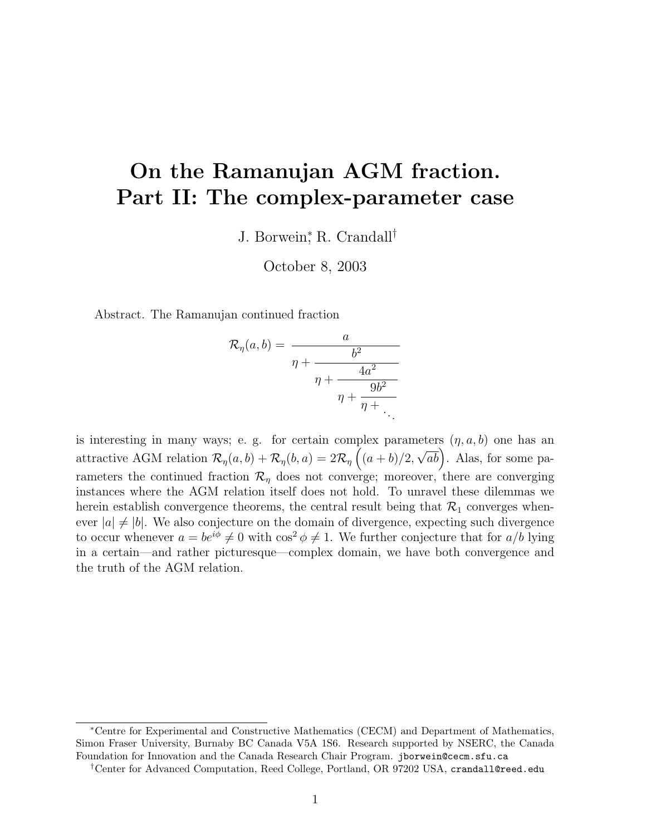# On the Ramanujan AGM fraction. Part II: The complex-parameter case

J. Borwein<sup>∗</sup> , R. Crandall†

October 8, 2003

Abstract. The Ramanujan continued fraction

$$
\mathcal{R}_{\eta}(a,b) = \frac{a}{\eta + \frac{b^2}{\eta + \frac{4a^2}{\eta + \frac{9b^2}{\eta + \ddots}}}}.
$$

is interesting in many ways; e. g. for certain complex parameters  $(\eta, a, b)$  one has an attractive AGM relation  $\mathcal{R}_{\eta}(a,b) + \mathcal{R}_{\eta}(b,a) = 2\mathcal{R}_{\eta}\left((a+b)/2\right)$  $\overline{\sqrt{ab}}$ . Alas, for some parameters the continued fraction  $\mathcal{R}_{\eta}$  does not converge; moreover, there are converging instances where the AGM relation itself does not hold. To unravel these dilemmas we herein establish convergence theorems, the central result being that  $\mathcal{R}_1$  converges whenever  $|a| \neq |b|$ . We also conjecture on the domain of divergence, expecting such divergence to occur whenever  $a = be^{i\phi} \neq 0$  with  $\cos^2 \phi \neq 1$ . We further conjecture that for  $a/b$  lying in a certain—and rather picturesque—complex domain, we have both convergence and the truth of the AGM relation.

<sup>∗</sup>Centre for Experimental and Constructive Mathematics (CECM) and Department of Mathematics, Simon Fraser University, Burnaby BC Canada V5A 1S6. Research supported by NSERC, the Canada Foundation for Innovation and the Canada Research Chair Program. jborwein@cecm.sfu.ca

<sup>†</sup>Center for Advanced Computation, Reed College, Portland, OR 97202 USA, crandall@reed.edu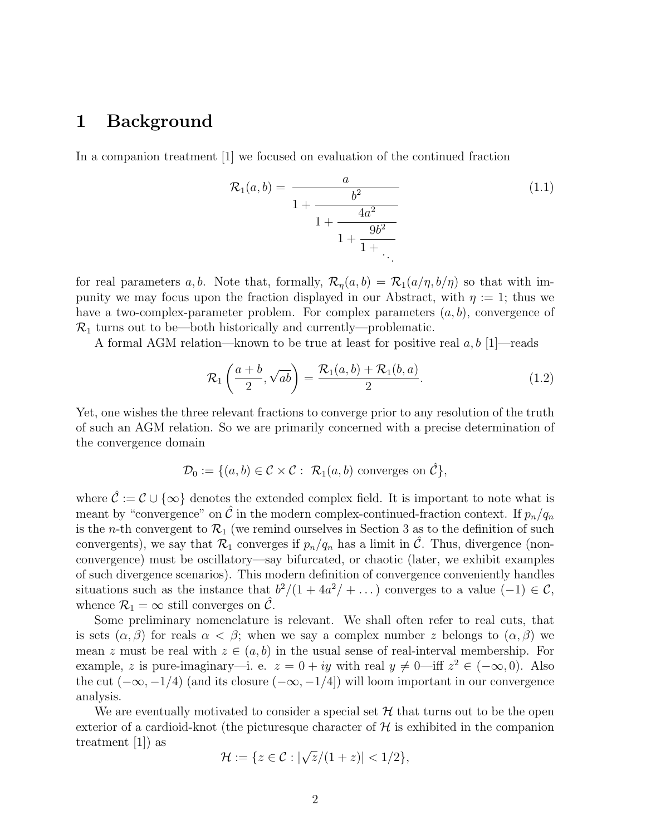#### 1 Background

In a companion treatment [1] we focused on evaluation of the continued fraction

$$
\mathcal{R}_1(a,b) = \frac{a}{1 + \frac{b^2}{1 + \frac{4a^2}{1 + \frac{9b^2}{1 + \ddots}}}}
$$
(1.1)

for real parameters a, b. Note that, formally,  $\mathcal{R}_\eta(a, b) = \mathcal{R}_1(a/\eta, b/\eta)$  so that with impunity we may focus upon the fraction displayed in our Abstract, with  $\eta := 1$ ; thus we have a two-complex-parameter problem. For complex parameters  $(a, b)$ , convergence of  $\mathcal{R}_1$  turns out to be—both historically and currently—problematic.

A formal AGM relation—known to be true at least for positive real  $a, b$  [1]—reads

$$
\mathcal{R}_1\left(\frac{a+b}{2},\sqrt{ab}\right) = \frac{\mathcal{R}_1(a,b) + \mathcal{R}_1(b,a)}{2}.
$$
\n(1.2)

Yet, one wishes the three relevant fractions to converge prior to any resolution of the truth of such an AGM relation. So we are primarily concerned with a precise determination of the convergence domain

$$
\mathcal{D}_0 := \{ (a, b) \in \mathcal{C} \times \mathcal{C} : \mathcal{R}_1(a, b) \text{ converges on } \hat{\mathcal{C}} \},
$$

where  $\hat{\mathcal{C}} := \mathcal{C} \cup \{\infty\}$  denotes the extended complex field. It is important to note what is meant by "convergence" on  $\tilde{\mathcal{C}}$  in the modern complex-continued-fraction context. If  $p_n/q_n$ is the *n*-th convergent to  $\mathcal{R}_1$  (we remind ourselves in Section 3 as to the definition of such convergents), we say that  $\mathcal{R}_1$  converges if  $p_n/q_n$  has a limit in C. Thus, divergence (nonconvergence) must be oscillatory—say bifurcated, or chaotic (later, we exhibit examples of such divergence scenarios). This modern definition of convergence conveniently handles situations such as the instance that  $b^2/(1+4a^2/\cdots)$  converges to a value  $(-1) \in \mathcal{C}$ , whence  $\mathcal{R}_1 = \infty$  still converges on C.

Some preliminary nomenclature is relevant. We shall often refer to real cuts, that is sets  $(\alpha, \beta)$  for reals  $\alpha < \beta$ ; when we say a complex number z belongs to  $(\alpha, \beta)$  we mean z must be real with  $z \in (a, b)$  in the usual sense of real-interval membership. For example, z is pure-imaginary—i. e.  $z = 0 + iy$  with real  $y \neq 0$ —iff  $z^2 \in (-\infty, 0)$ . Also the cut  $(-\infty, -1/4)$  (and its closure  $(-\infty, -1/4)$ ) will loom important in our convergence analysis.

We are eventually motivated to consider a special set  $\mathcal H$  that turns out to be the open exterior of a cardioid-knot (the picturesque character of  $\mathcal H$  is exhibited in the companion treatment [1]) as √

$$
\mathcal{H} := \{ z \in \mathcal{C} : |\sqrt{z}/(1+z)| < 1/2 \},
$$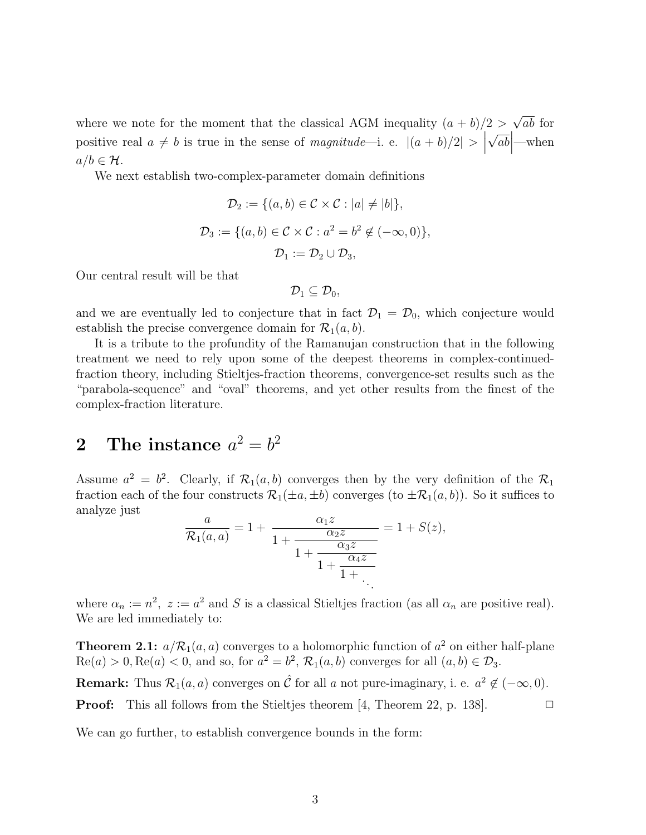where we note for the moment that the classical AGM inequality  $(a + b)/2$ √ ab for positive real  $a \neq b$  is true in the sense of magnitude—i. e.  $|(a + b)/2| > |$ √  $\overline{ab}$ —when  $a/b \in \mathcal{H}$ .

We next establish two-complex-parameter domain definitions

$$
\mathcal{D}_2 := \{ (a, b) \in \mathcal{C} \times \mathcal{C} : |a| \neq |b| \},\
$$

$$
\mathcal{D}_3 := \{ (a, b) \in \mathcal{C} \times \mathcal{C} : a^2 = b^2 \notin (-\infty, 0) \},\
$$

$$
\mathcal{D}_1 := \mathcal{D}_2 \cup \mathcal{D}_3,
$$

Our central result will be that

 $\mathcal{D}_1 \subset \mathcal{D}_0$ 

and we are eventually led to conjecture that in fact  $\mathcal{D}_1 = \mathcal{D}_0$ , which conjecture would establish the precise convergence domain for  $\mathcal{R}_1(a, b)$ .

It is a tribute to the profundity of the Ramanujan construction that in the following treatment we need to rely upon some of the deepest theorems in complex-continuedfraction theory, including Stieltjes-fraction theorems, convergence-set results such as the "parabola-sequence" and "oval" theorems, and yet other results from the finest of the complex-fraction literature.

# ${\bf 2}\quad \hbox{The instance}\,\,a^2=b^2$

Assume  $a^2 = b^2$ . Clearly, if  $\mathcal{R}_1(a, b)$  converges then by the very definition of the  $\mathcal{R}_1$ fraction each of the four constructs  $\mathcal{R}_1(\pm a, \pm b)$  converges (to  $\pm \mathcal{R}_1(a, b)$ ). So it suffices to analyze just

$$
\frac{a}{\mathcal{R}_1(a,a)} = 1 + \frac{\alpha_1 z}{1 + \frac{\alpha_2 z}{1 + \frac{\alpha_3 z}{1 + \frac{\alpha_4 z}{1 + \frac{\alpha_4 z}{1 + \dots}}}}} = 1 + S(z),
$$

where  $\alpha_n := n^2$ ,  $z := a^2$  and S is a classical Stieltjes fraction (as all  $\alpha_n$  are positive real). We are led immediately to:

**Theorem 2.1:**  $a/R_1(a,a)$  converges to a holomorphic function of  $a^2$  on either half-plane  $\text{Re}(a) > 0, \text{Re}(a) < 0$ , and so, for  $a^2 = b^2$ ,  $\mathcal{R}_1(a, b)$  converges for all  $(a, b) \in \mathcal{D}_3$ .

**Remark:** Thus  $\mathcal{R}_1(a, a)$  converges on  $\hat{\mathcal{C}}$  for all a not pure-imaginary, i. e.  $a^2 \notin (-\infty, 0)$ .

**Proof:** This all follows from the Stieltjes theorem [4, Theorem 22, p. 138].  $\Box$ 

We can go further, to establish convergence bounds in the form: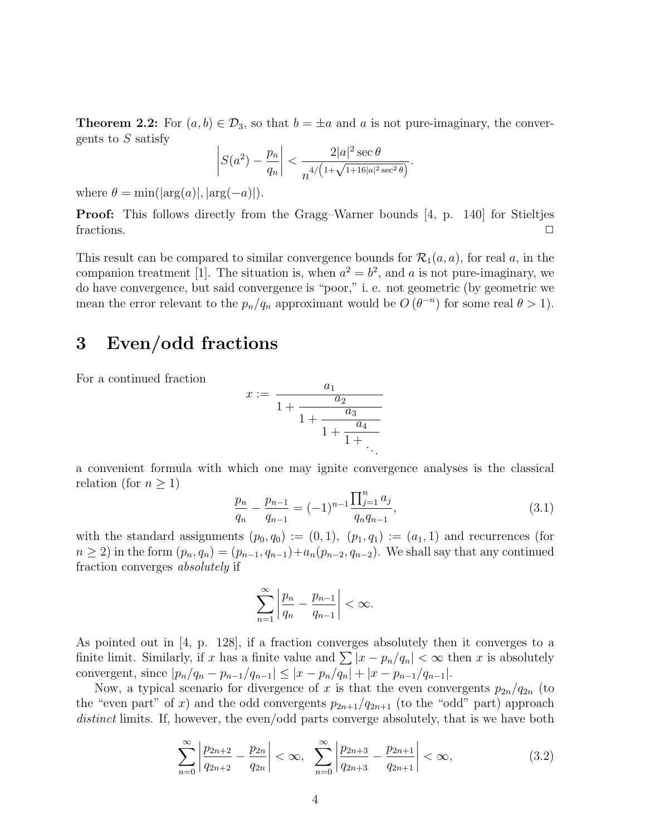**Theorem 2.2:** For  $(a, b) \in \mathcal{D}_3$ , so that  $b = \pm a$  and a is not pure-imaginary, the convergents to  $S$  satisfy

$$
\left| S(a^2) - \frac{p_n}{q_n} \right| < \frac{2|a|^2 \sec \theta}{n^{4/\left(1 + \sqrt{1 + 16|a|^2 \sec^2 \theta}\right)}}.
$$

where  $\theta = \min(|\arg(a)|, |\arg(-a)|)$ .

Proof: This follows directly from the Gragg–Warner bounds [4, p. 140] for Stieltjes fractions.  $\Box$ 

This result can be compared to similar convergence bounds for  $\mathcal{R}_1(a, a)$ , for real a, in the companion treatment [1]. The situation is, when  $a^2 = b^2$ , and a is not pure-imaginary, we do have convergence, but said convergence is "poor," i. e. not geometric (by geometric we mean the error relevant to the  $p_n/q_n$  approximant would be  $O(\theta^{-n})$  for some real  $\theta > 1$ .

### 3 Even/odd fractions

For a continued fraction

$$
x := \frac{a_1}{1 + \frac{a_2}{1 + \frac{a_3}{1 + \frac{a_4}{1 + \ddots}}}}.
$$

a convenient formula with which one may ignite convergence analyses is the classical relation (for  $n \geq 1$ )

$$
\frac{p_n}{q_n} - \frac{p_{n-1}}{q_{n-1}} = (-1)^{n-1} \frac{\prod_{j=1}^n a_j}{q_n q_{n-1}},
$$
\n(3.1)

with the standard assignments  $(p_0, q_0) := (0, 1), (p_1, q_1) := (a_1, 1)$  and recurrences (for  $n \ge 2$ ) in the form  $(p_n, q_n) = (p_{n-1}, q_{n-1}) + a_n(p_{n-2}, q_{n-2})$ . We shall say that any continued fraction converges absolutely if

$$
\sum_{n=1}^{\infty} \left| \frac{p_n}{q_n} - \frac{p_{n-1}}{q_{n-1}} \right| < \infty.
$$

As pointed out in [4, p. 128], if a fraction converges absolutely then it converges to a finite limit. Similarly, if x has a finite value and  $\sum |x - p_n/q_n| < \infty$  then x is absolutely convergent, since  $|p_n/q_n - p_{n-1}/q_{n-1}| \leq |x - p_n/q_n| + |x - p_{n-1}/q_{n-1}|.$ 

Now, a typical scenario for divergence of x is that the even convergents  $p_{2n}/q_{2n}$  (to the "even part" of x) and the odd convergents  $p_{2n+1}/q_{2n+1}$  (to the "odd" part) approach distinct limits. If, however, the even/odd parts converge absolutely, that is we have both

$$
\sum_{n=0}^{\infty} \left| \frac{p_{2n+2}}{q_{2n+2}} - \frac{p_{2n}}{q_{2n}} \right| < \infty, \quad \sum_{n=0}^{\infty} \left| \frac{p_{2n+3}}{q_{2n+3}} - \frac{p_{2n+1}}{q_{2n+1}} \right| < \infty,\tag{3.2}
$$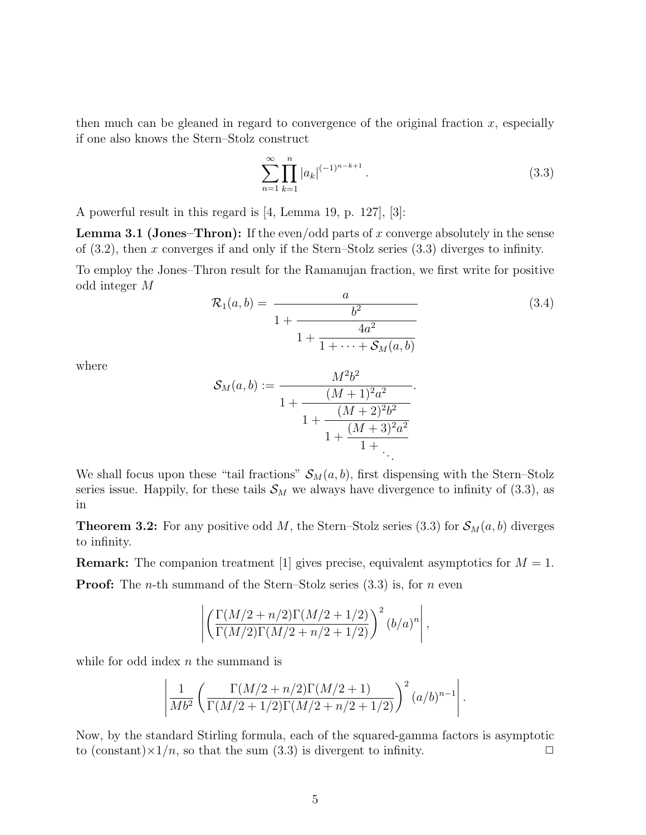then much can be gleaned in regard to convergence of the original fraction  $x$ , especially if one also knows the Stern–Stolz construct

$$
\sum_{n=1}^{\infty} \prod_{k=1}^{n} |a_k|^{(-1)^{n-k+1}}.
$$
\n(3.3)

A powerful result in this regard is [4, Lemma 19, p. 127], [3]:

**Lemma 3.1 (Jones–Thron):** If the even/odd parts of x converge absolutely in the sense of  $(3.2)$ , then x converges if and only if the Stern–Stolz series  $(3.3)$  diverges to infinity.

To employ the Jones–Thron result for the Ramanujan fraction, we first write for positive odd integer M

$$
\mathcal{R}_1(a,b) = \frac{a}{1 + \frac{b^2}{1 + \frac{4a^2}{1 + \dots + \mathcal{S}_M(a,b)}}}
$$
(3.4)

where

$$
\mathcal{S}_M(a,b) := \frac{M^2b^2}{1 + \frac{(M+1)^2a^2}{1 + \frac{(M+2)^2b^2}{1 + \frac{(M+3)^2a^2}{1 + \ddots}}}}
$$

We shall focus upon these "tail fractions"  $S_M(a, b)$ , first dispensing with the Stern–Stolz series issue. Happily, for these tails  $\mathcal{S}_M$  we always have divergence to infinity of (3.3), as in

**Theorem 3.2:** For any positive odd M, the Stern–Stolz series (3.3) for  $S_M(a, b)$  diverges to infinity.

**Remark:** The companion treatment [1] gives precise, equivalent asymptotics for  $M = 1$ . **Proof:** The *n*-th summand of the Stern–Stolz series  $(3.3)$  is, for *n* even

$$
\left| \left( \frac{\Gamma(M/2 + n/2)\Gamma(M/2 + 1/2)}{\Gamma(M/2)\Gamma(M/2 + n/2 + 1/2)} \right)^2 (b/a)^n \right|,
$$

while for odd index  $n$  the summand is

$$
\left| \frac{1}{Mb^{2}} \left( \frac{\Gamma(M/2 + n/2)\Gamma(M/2 + 1)}{\Gamma(M/2 + 1/2)\Gamma(M/2 + n/2 + 1/2)} \right)^{2} (a/b)^{n-1} \right|.
$$

Now, by the standard Stirling formula, each of the squared-gamma factors is asymptotic to (constant) $\times 1/n$ , so that the sum (3.3) is divergent to infinity.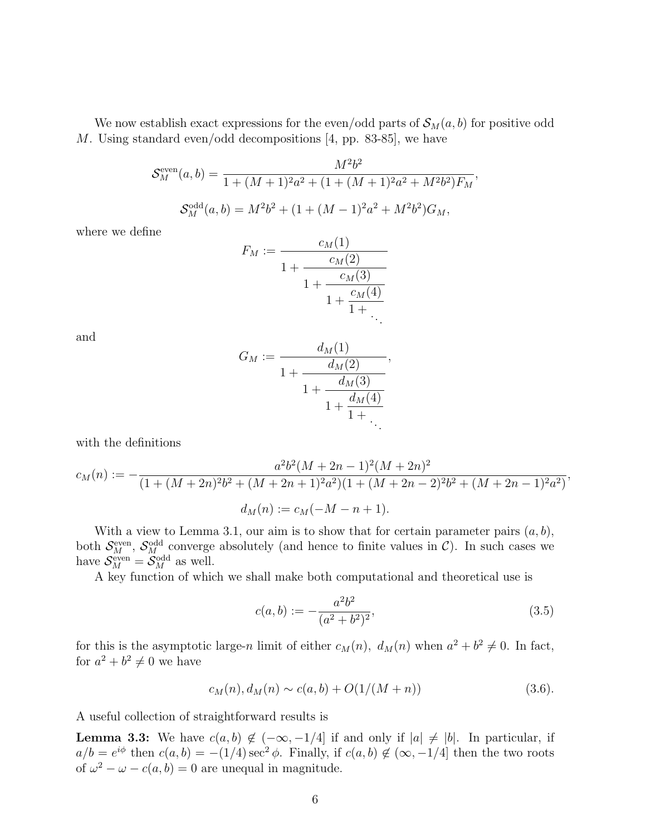We now establish exact expressions for the even/odd parts of  $\mathcal{S}_M(a, b)$  for positive odd M. Using standard even/odd decompositions [4, pp. 83-85], we have

$$
S_M^{\text{even}}(a,b) = \frac{M^2 b^2}{1 + (M+1)^2 a^2 + (1 + (M+1)^2 a^2 + M^2 b^2) F_M},
$$
  

$$
S_M^{\text{odd}}(a,b) = M^2 b^2 + (1 + (M-1)^2 a^2 + M^2 b^2) G_M,
$$

where we define

$$
F_M := \frac{c_M(1)}{1 + \frac{c_M(2)}{1 + \frac{c_M(3)}{1 + \frac{c_M(4)}{1 + \dots}}}}
$$

and

$$
G_M := \frac{d_M(1)}{1 + \frac{d_M(2)}{1 + \frac{d_M(3)}{1 + \frac{d_M(4)}{1 + \dots}}}},
$$

with the definitions

$$
c_M(n) := -\frac{a^2b^2(M+2n-1)^2(M+2n)^2}{(1+(M+2n)^2b^2+(M+2n+1)^2a^2)(1+(M+2n-2)^2b^2+(M+2n-1)^2a^2)},
$$
  

$$
d_M(n) := c_M(-M-n+1).
$$

With a view to Lemma 3.1, our aim is to show that for certain parameter pairs  $(a, b)$ , both  $S_M^{\text{even}}$ ,  $S_M^{\text{odd}}$  converge absolutely (and hence to finite values in C). In such cases we have  $S_M^{\text{even}} = S_M^{\text{odd}}$  as well.

A key function of which we shall make both computational and theoretical use is

$$
c(a,b) := -\frac{a^2b^2}{(a^2+b^2)^2},\tag{3.5}
$$

for this is the asymptotic large-n limit of either  $c_M(n)$ ,  $d_M(n)$  when  $a^2 + b^2 \neq 0$ . In fact, for  $a^2 + b^2 \neq 0$  we have

$$
c_M(n), d_M(n) \sim c(a, b) + O(1/(M+n))
$$
\n(3.6).

A useful collection of straightforward results is

**Lemma 3.3:** We have  $c(a, b) \notin (-\infty, -1/4]$  if and only if  $|a| \neq |b|$ . In particular, if  $a/b = e^{i\phi}$  then  $c(a, b) = -(1/4) \sec^2 \phi$ . Finally, if  $c(a, b) \notin (\infty, -1/4]$  then the two roots of  $\omega^2 - \omega - c(a, b) = 0$  are unequal in magnitude.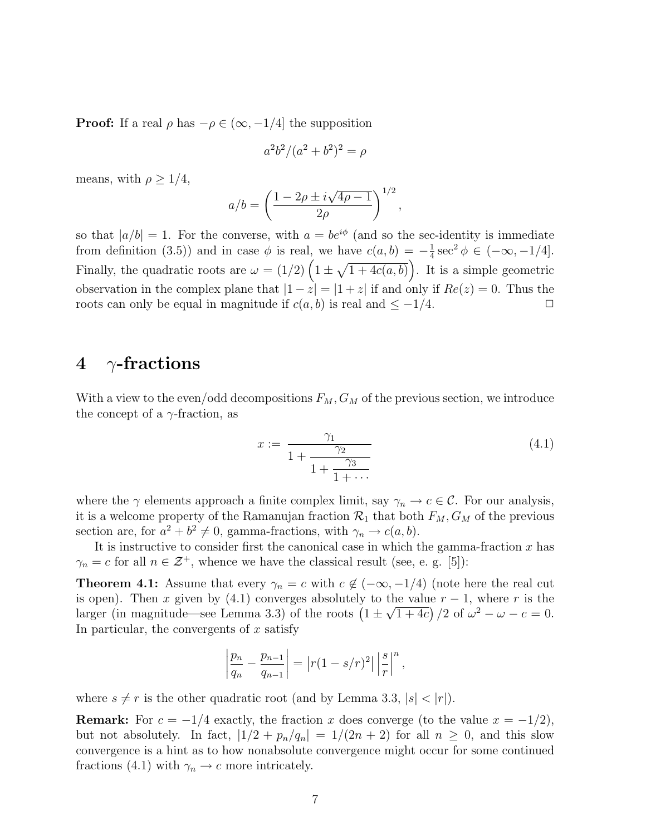**Proof:** If a real  $\rho$  has  $-\rho \in (\infty, -1/4]$  the supposition

$$
a^2b^2/(a^2+b^2)^2 = \rho
$$

means, with  $\rho \geq 1/4$ ,

$$
a/b = \left(\frac{1 - 2\rho \pm i\sqrt{4\rho - 1}}{2\rho}\right)^{1/2},
$$

so that  $|a/b| = 1$ . For the converse, with  $a = be^{i\phi}$  (and so the sec-identity is immediate from definition (3.5)) and in case  $\phi$  is real, we have  $c(a, b) = -\frac{1}{4}$  $\frac{1}{4}\sec^2\phi \in (-\infty, -1/4].$ Finally, the quadratic roots are  $\omega = (1/2) \left(1 \pm \sqrt{1+4c(a,b)}\right)$ . It is a simple geometric observation in the complex plane that  $|1-z|=|1+z|$  if and only if  $Re(z)=0$ . Thus the roots can only be equal in magnitude if  $c(a, b)$  is real and  $\leq -1/4$ .

#### 4  $\gamma$ -fractions

With a view to the even/odd decompositions  $F_M$ ,  $G_M$  of the previous section, we introduce the concept of a  $\gamma$ -fraction, as

$$
x := \frac{\gamma_1}{1 + \frac{\gamma_2}{1 + \frac{\gamma_3}{1 + \cdots}}} \tag{4.1}
$$

where the  $\gamma$  elements approach a finite complex limit, say  $\gamma_n \to c \in \mathcal{C}$ . For our analysis, it is a welcome property of the Ramanujan fraction  $\mathcal{R}_1$  that both  $F_M$ ,  $G_M$  of the previous section are, for  $a^2 + b^2 \neq 0$ , gamma-fractions, with  $\gamma_n \to c(a, b)$ .

It is instructive to consider first the canonical case in which the gamma-fraction  $x$  has  $\gamma_n = c$  for all  $n \in \mathcal{Z}^+$ , whence we have the classical result (see, e. g. [5]):

**Theorem 4.1:** Assume that every  $\gamma_n = c$  with  $c \notin (-\infty, -1/4)$  (note here the real cut is open). Then x given by (4.1) converges absolutely to the value  $r - 1$ , where r is the larger (in magnitude—see Lemma 3.3) of the roots  $(1 \pm \sqrt{1+4c})/2$  of  $\omega^2 - \omega - c = 0$ . In particular, the convergents of  $x$  satisfy

$$
\left|\frac{p_n}{q_n} - \frac{p_{n-1}}{q_{n-1}}\right| = |r(1 - s/r)^2| \left|\frac{s}{r}\right|^n,
$$

where  $s \neq r$  is the other quadratic root (and by Lemma 3.3,  $|s| < |r|$ ).

**Remark:** For  $c = -1/4$  exactly, the fraction x does converge (to the value  $x = -1/2$ ), but not absolutely. In fact,  $|1/2 + p_n/q_n| = 1/(2n + 2)$  for all  $n \ge 0$ , and this slow convergence is a hint as to how nonabsolute convergence might occur for some continued fractions (4.1) with  $\gamma_n \to c$  more intricately.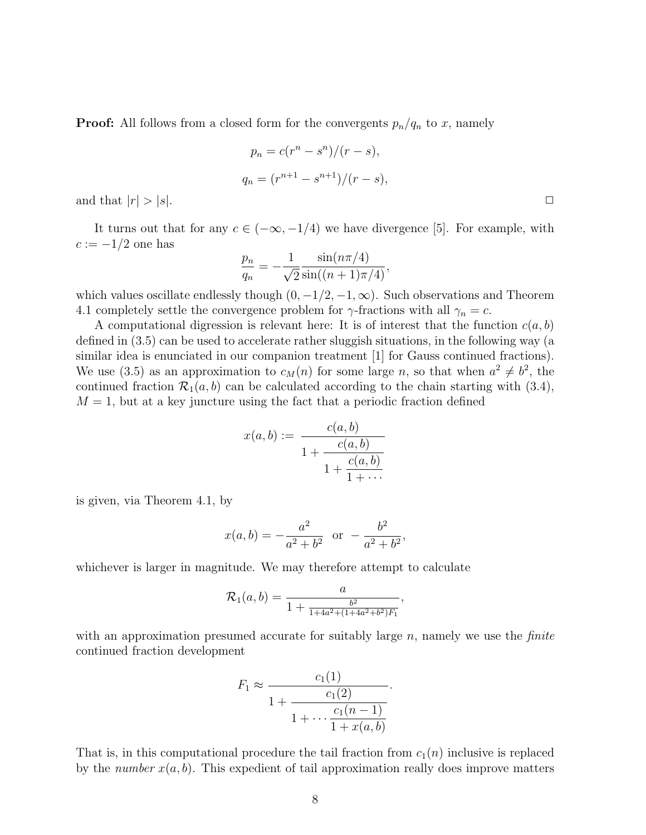**Proof:** All follows from a closed form for the convergents  $p_n/q_n$  to x, namely

$$
p_n = c(r^n - s^n)/(r - s),
$$
  
\n
$$
q_n = (r^{n+1} - s^{n+1})/(r - s),
$$

and that  $|r| > |s|$ .

It turns out that for any  $c \in (-\infty, -1/4)$  we have divergence [5]. For example, with  $c := -1/2$  one has

$$
\frac{p_n}{q_n} = -\frac{1}{\sqrt{2}} \frac{\sin(n\pi/4)}{\sin((n+1)\pi/4)},
$$

which values oscillate endlessly though  $(0, -1/2, -1, \infty)$ . Such observations and Theorem 4.1 completely settle the convergence problem for  $\gamma$ -fractions with all  $\gamma_n = c$ .

A computational digression is relevant here: It is of interest that the function  $c(a, b)$ defined in (3.5) can be used to accelerate rather sluggish situations, in the following way (a similar idea is enunciated in our companion treatment [1] for Gauss continued fractions). We use (3.5) as an approximation to  $c_M(n)$  for some large n, so that when  $a^2 \neq b^2$ , the continued fraction  $\mathcal{R}_1(a, b)$  can be calculated according to the chain starting with (3.4),  $M = 1$ , but at a key juncture using the fact that a periodic fraction defined

$$
x(a,b) := \frac{c(a,b)}{1 + \frac{c(a,b)}{1 + \frac{c(a,b)}{1 + \cdots}}}
$$

is given, via Theorem 4.1, by

$$
x(a, b) = -\frac{a^2}{a^2 + b^2}
$$
 or  $-\frac{b^2}{a^2 + b^2}$ ,

whichever is larger in magnitude. We may therefore attempt to calculate

$$
\mathcal{R}_1(a,b) = \frac{a}{1 + \frac{b^2}{1 + 4a^2 + (1 + 4a^2 + b^2)F_1}},
$$

with an approximation presumed accurate for suitably large  $n$ , namely we use the *finite* continued fraction development

$$
F_1 \approx \frac{c_1(1)}{1 + \frac{c_1(2)}{1 + \dots + \frac{c_1(n-1)}{1 + x(a,b)}}}.
$$

That is, in this computational procedure the tail fraction from  $c_1(n)$  inclusive is replaced by the number  $x(a, b)$ . This expedient of tail approximation really does improve matters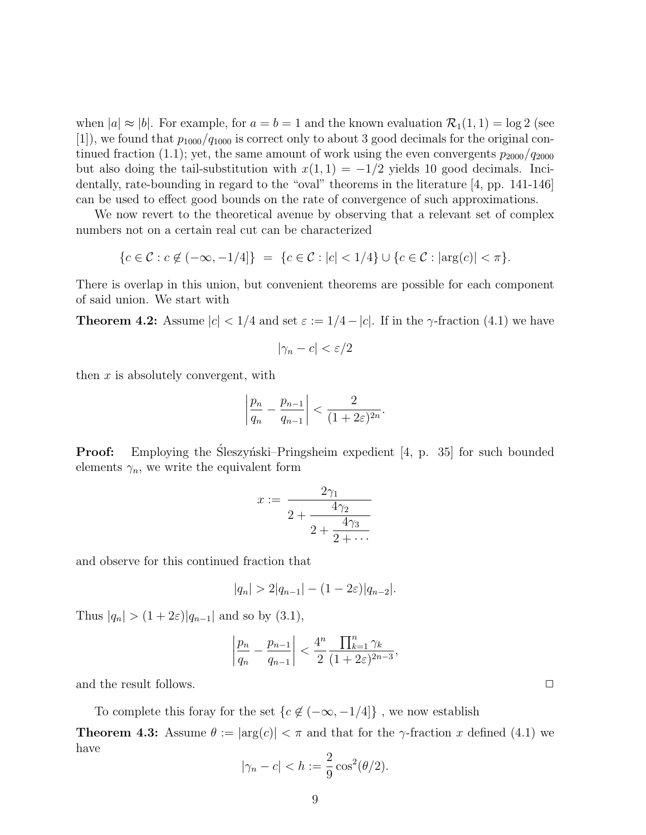when  $|a| \approx |b|$ . For example, for  $a = b = 1$  and the known evaluation  $\mathcal{R}_1(1, 1) = \log 2$  (see [1]), we found that  $p_{1000}/q_{1000}$  is correct only to about 3 good decimals for the original continued fraction (1.1); yet, the same amount of work using the even convergents  $p_{2000}/q_{2000}$ but also doing the tail-substitution with  $x(1, 1) = -1/2$  yields 10 good decimals. Incidentally, rate-bounding in regard to the "oval" theorems in the literature [4, pp. 141-146] can be used to effect good bounds on the rate of convergence of such approximations.

We now revert to the theoretical avenue by observing that a relevant set of complex numbers not on a certain real cut can be characterized

$$
\{c \in \mathcal{C} : c \notin (-\infty, -1/4] \} = \{c \in \mathcal{C} : |c| < 1/4 \} \cup \{c \in \mathcal{C} : |\arg(c)| < \pi \}.
$$

There is overlap in this union, but convenient theorems are possible for each component of said union. We start with

**Theorem 4.2:** Assume  $|c| < 1/4$  and set  $\varepsilon := 1/4 - |c|$ . If in the  $\gamma$ -fraction (4.1) we have

$$
|\gamma_n - c| < \varepsilon/2
$$

then  $x$  is absolutely convergent, with

$$
\left|\frac{p_n}{q_n} - \frac{p_{n-1}}{q_{n-1}}\right| < \frac{2}{(1+2\varepsilon)^{2n}}.
$$

**Proof:** Employing the Sleszynski–Pringsheim expedient [4, p. 35] for such bounded elements  $\gamma_n$ , we write the equivalent form

$$
x := \frac{2\gamma_1}{2 + \frac{4\gamma_2}{2 + \frac{4\gamma_3}{2 + \dots}}}
$$

and observe for this continued fraction that

$$
|q_n| > 2|q_{n-1}| - (1 - 2\varepsilon)|q_{n-2}|.
$$

Thus  $|q_n| > (1 + 2\varepsilon)|q_{n-1}|$  and so by (3.1),

$$
\left|\frac{p_n}{q_n} - \frac{p_{n-1}}{q_{n-1}}\right| < \frac{4^n}{2} \frac{\prod_{k=1}^n \gamma_k}{(1 + 2\varepsilon)^{2n-3}},
$$

and the result follows.  $\Box$ 

To complete this foray for the set  $\{c\not\in (-\infty,-1/4]\}$  , we now establish

**Theorem 4.3:** Assume  $\theta := |\arg(c)| < \pi$  and that for the  $\gamma$ -fraction x defined (4.1) we have

$$
|\gamma_n - c| < h := \frac{2}{9} \cos^2(\theta/2).
$$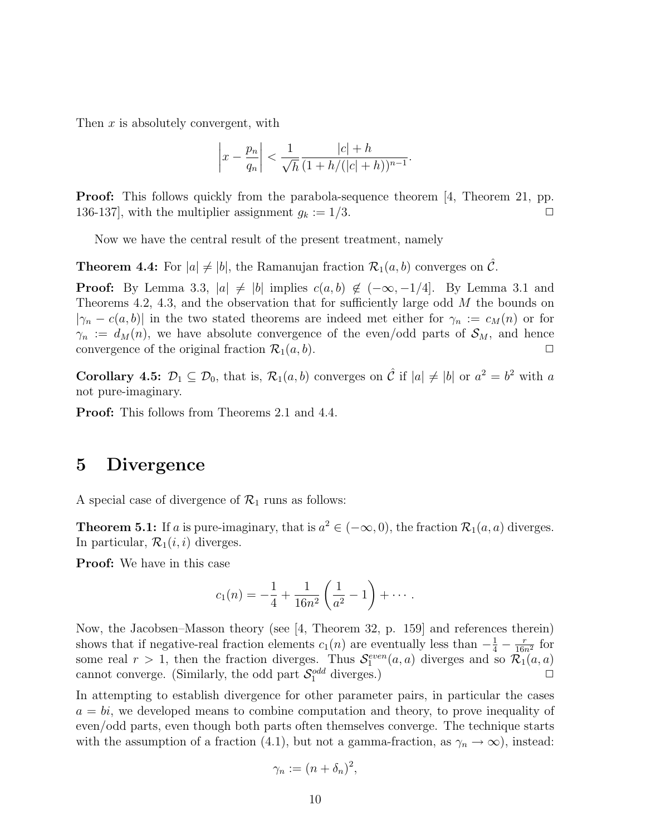Then x is absolutely convergent, with

$$
\left| x - \frac{p_n}{q_n} \right| < \frac{1}{\sqrt{h}} \frac{|c| + h}{(1 + h/(|c| + h))^{n-1}}.
$$

**Proof:** This follows quickly from the parabola-sequence theorem [4, Theorem 21, pp. 136-137], with the multiplier assignment  $g_k := 1/3$ .

Now we have the central result of the present treatment, namely

**Theorem 4.4:** For  $|a| \neq |b|$ , the Ramanujan fraction  $\mathcal{R}_1(a, b)$  converges on  $\mathcal{C}$ .

**Proof:** By Lemma 3.3,  $|a| \neq |b|$  implies  $c(a, b) \notin (-\infty, -1/4]$ . By Lemma 3.1 and Theorems 4.2, 4.3, and the observation that for sufficiently large odd M the bounds on  $|\gamma_n - c(a, b)|$  in the two stated theorems are indeed met either for  $\gamma_n := c_M(n)$  or for  $\gamma_n := d_M(n)$ , we have absolute convergence of the even/odd parts of  $\mathcal{S}_M$ , and hence convergence of the original fraction  $\mathcal{R}_1(a, b)$ .

**Corollary 4.5:**  $\mathcal{D}_1 \subseteq \mathcal{D}_0$ , that is,  $\mathcal{R}_1(a, b)$  converges on  $\hat{\mathcal{C}}$  if  $|a| \neq |b|$  or  $a^2 = b^2$  with a not pure-imaginary.

Proof: This follows from Theorems 2.1 and 4.4.

#### 5 Divergence

A special case of divergence of  $\mathcal{R}_1$  runs as follows:

**Theorem 5.1:** If a is pure-imaginary, that is  $a^2 \in (-\infty, 0)$ , the fraction  $\mathcal{R}_1(a, a)$  diverges. In particular,  $\mathcal{R}_1(i, i)$  diverges.

Proof: We have in this case

$$
c_1(n) = -\frac{1}{4} + \frac{1}{16n^2} \left( \frac{1}{a^2} - 1 \right) + \cdots.
$$

Now, the Jacobsen–Masson theory (see [4, Theorem 32, p. 159] and references therein) shows that if negative-real fraction elements  $c_1(n)$  are eventually less than  $-\frac{1}{4} - \frac{r}{16r}$  $\frac{r}{16n^2}$  for some real  $r > 1$ , then the fraction diverges. Thus  $\mathcal{S}_1^{even}(a, a)$  diverges and so  $\mathcal{R}_1(a, a)$ cannot converge. (Similarly, the odd part  $S_1^{odd}$  diverges.)

In attempting to establish divergence for other parameter pairs, in particular the cases  $a = bi$ , we developed means to combine computation and theory, to prove inequality of even/odd parts, even though both parts often themselves converge. The technique starts with the assumption of a fraction (4.1), but not a gamma-fraction, as  $\gamma_n \to \infty$ ), instead:

$$
\gamma_n := (n + \delta_n)^2,
$$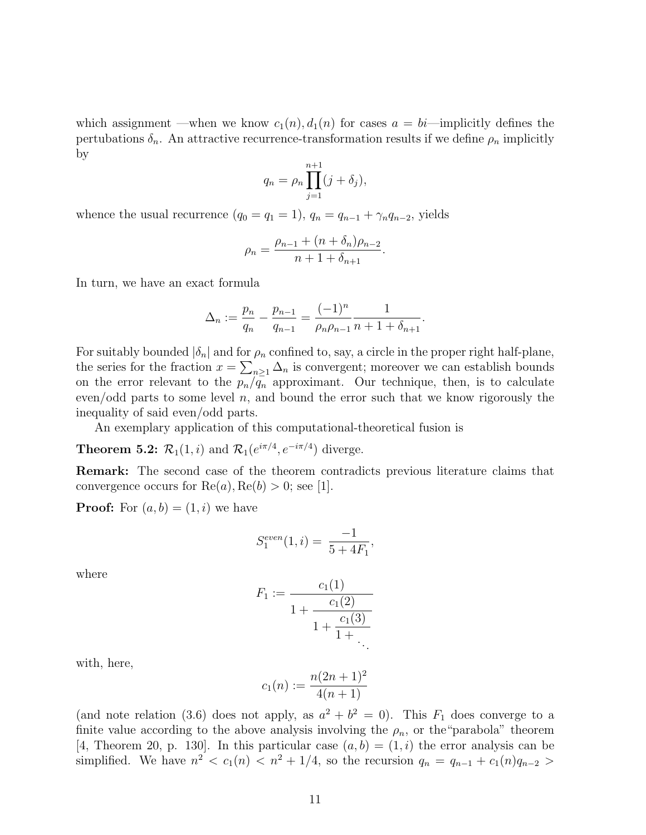which assignment —when we know  $c_1(n)$ ,  $d_1(n)$  for cases  $a = bi$ —implicitly defines the pertubations  $\delta_n$ . An attractive recurrence-transformation results if we define  $\rho_n$  implicitly by

$$
q_n = \rho_n \prod_{j=1}^{n+1} (j + \delta_j),
$$

whence the usual recurrence  $(q_0 = q_1 = 1), q_n = q_{n-1} + \gamma_n q_{n-2}$ , yields

$$
\rho_n = \frac{\rho_{n-1} + (n + \delta_n)\rho_{n-2}}{n+1+\delta_{n+1}}.
$$

In turn, we have an exact formula

$$
\Delta_n := \frac{p_n}{q_n} - \frac{p_{n-1}}{q_{n-1}} = \frac{(-1)^n}{\rho_n \rho_{n-1}} \frac{1}{n+1+\delta_{n+1}}.
$$

For suitably bounded  $|\delta_n|$  and for  $\rho_n$  confined to, say, a circle in the proper right half-plane, the series for the fraction  $x = \sum_{n\geq 1} \Delta_n$  is convergent; moreover we can establish bounds on the error relevant to the  $p_n/\overline{q_n}$  approximant. Our technique, then, is to calculate even/odd parts to some level  $n$ , and bound the error such that we know rigorously the inequality of said even/odd parts.

An exemplary application of this computational-theoretical fusion is

**Theorem 5.2:**  $\mathcal{R}_1(1,i)$  and  $\mathcal{R}_1(e^{i\pi/4}, e^{-i\pi/4})$  diverge.

Remark: The second case of the theorem contradicts previous literature claims that convergence occurs for  $\text{Re}(a), \text{Re}(b) > 0$ ; see [1].

**Proof:** For  $(a, b) = (1, i)$  we have

$$
S_1^{even}(1,i) = \frac{-1}{5+4F_1},
$$

where

$$
F_1 := \frac{c_1(1)}{1 + \frac{c_1(2)}{1 + \frac{c_1(3)}{1 + \ddots}}}
$$

with, here,

$$
c_1(n) := \frac{n(2n+1)^2}{4(n+1)}
$$

(and note relation (3.6) does not apply, as  $a^2 + b^2 = 0$ ). This  $F_1$  does converge to a finite value according to the above analysis involving the  $\rho_n$ , or the "parabola" theorem [4, Theorem 20, p. 130]. In this particular case  $(a, b) = (1, i)$  the error analysis can be simplified. We have  $n^2 < c_1(n) < n^2 + 1/4$ , so the recursion  $q_n = q_{n-1} + c_1(n)q_{n-2} >$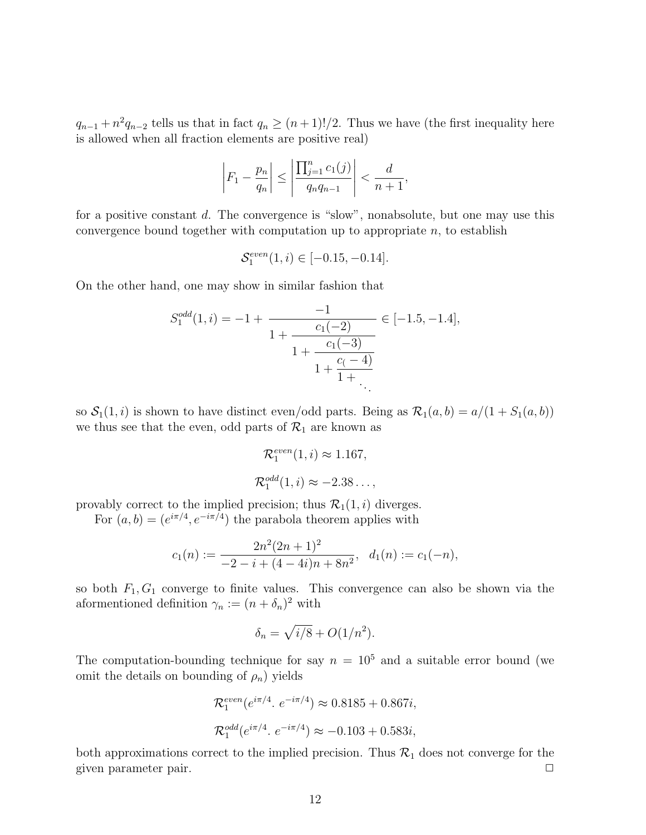$q_{n-1} + n^2 q_{n-2}$  tells us that in fact  $q_n \ge (n+1)!/2$ . Thus we have (the first inequality here is allowed when all fraction elements are positive real)

$$
\left|F_1 - \frac{p_n}{q_n}\right| \le \left|\frac{\prod_{j=1}^n c_1(j)}{q_n q_{n-1}}\right| < \frac{d}{n+1},
$$

for a positive constant d. The convergence is "slow", nonabsolute, but one may use this convergence bound together with computation up to appropriate  $n$ , to establish

$$
\mathcal{S}_1^{even}(1,i) \in [-0.15, -0.14].
$$

On the other hand, one may show in similar fashion that

$$
S_1^{odd}(1,i) = -1 + \frac{-1}{1 + \frac{c_1(-2)}{1 + \frac{c_1(-3)}{1 + \frac{c_1(-4)}{1 + \dots}}}} \in [-1.5, -1.4],
$$

so  $S_1(1, i)$  is shown to have distinct even/odd parts. Being as  $\mathcal{R}_1(a, b) = a/(1 + S_1(a, b))$ we thus see that the even, odd parts of  $\mathcal{R}_1$  are known as

$$
\mathcal{R}_1^{even}(1,i) \approx 1.167,
$$
  

$$
\mathcal{R}_1^{odd}(1,i) \approx -2.38...,
$$

provably correct to the implied precision; thus  $\mathcal{R}_1(1, i)$  diverges.

For  $(a, b) = (e^{i\pi/4}, e^{-i\pi/4})$  the parabola theorem applies with

$$
c_1(n) := \frac{2n^2(2n+1)^2}{-2 - i + (4-4i)n + 8n^2}, \quad d_1(n) := c_1(-n),
$$

so both  $F_1, G_1$  converge to finite values. This convergence can also be shown via the aformentioned definition  $\gamma_n := (n + \delta_n)^2$  with

$$
\delta_n = \sqrt{i/8} + O(1/n^2).
$$

The computation-bounding technique for say  $n = 10^5$  and a suitable error bound (we omit the details on bounding of  $\rho_n$ ) yields

$$
\mathcal{R}_1^{even}(e^{i\pi/4}. e^{-i\pi/4}) \approx 0.8185 + 0.867i,
$$
  

$$
\mathcal{R}_1^{odd}(e^{i\pi/4}. e^{-i\pi/4}) \approx -0.103 + 0.583i,
$$

both approximations correct to the implied precision. Thus  $\mathcal{R}_1$  does not converge for the given parameter pair.  $\Box$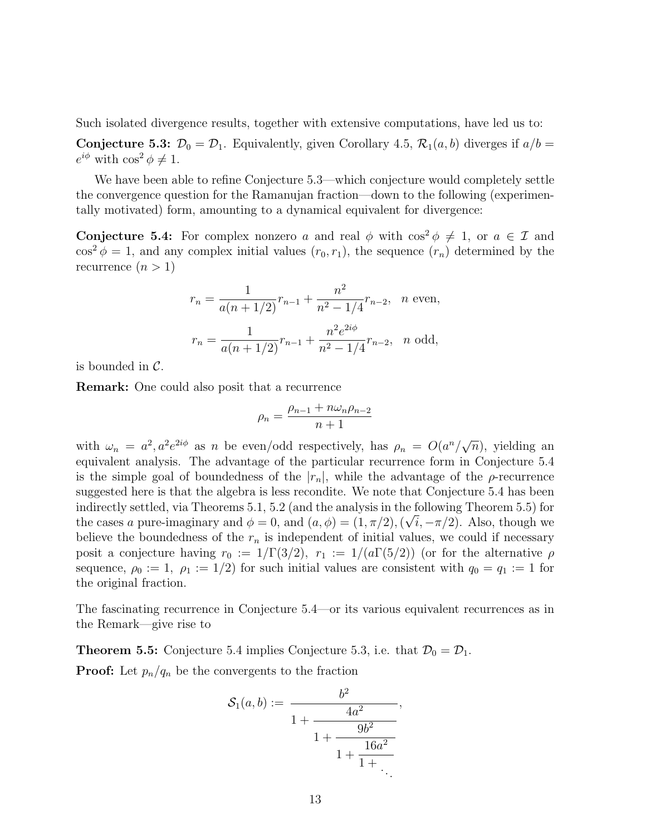Such isolated divergence results, together with extensive computations, have led us to:

**Conjecture 5.3:**  $\mathcal{D}_0 = \mathcal{D}_1$ . Equivalently, given Corollary 4.5,  $\mathcal{R}_1(a, b)$  diverges if  $a/b =$  $e^{i\phi}$  with  $\cos^2 \phi \neq 1$ .

We have been able to refine Conjecture 5.3—which conjecture would completely settle the convergence question for the Ramanujan fraction—down to the following (experimentally motivated) form, amounting to a dynamical equivalent for divergence:

**Conjecture 5.4:** For complex nonzero a and real  $\phi$  with  $\cos^2 \phi \neq 1$ , or  $a \in \mathcal{I}$  and  $\cos^2 \phi = 1$ , and any complex initial values  $(r_0, r_1)$ , the sequence  $(r_n)$  determined by the recurrence  $(n > 1)$ 

$$
r_n = \frac{1}{a(n+1/2)} r_{n-1} + \frac{n^2}{n^2 - 1/4} r_{n-2}, \quad n \text{ even},
$$

$$
r_n = \frac{1}{a(n+1/2)} r_{n-1} + \frac{n^2 e^{2i\phi}}{n^2 - 1/4} r_{n-2}, \quad n \text{ odd},
$$

is bounded in  $\mathcal{C}$ .

Remark: One could also posit that a recurrence

$$
\rho_n = \frac{\rho_{n-1} + n\omega_n \rho_{n-2}}{n+1}
$$

with  $\omega_n = a^2, a^2 e^{2i\phi}$  as n be even/odd respectively, has  $\rho_n = O(a^n/\sqrt{\phi})$  $\overline{n}$ ), yielding an equivalent analysis. The advantage of the particular recurrence form in Conjecture 5.4 is the simple goal of boundedness of the  $|r_n|$ , while the advantage of the  $\rho$ -recurrence suggested here is that the algebra is less recondite. We note that Conjecture 5.4 has been indirectly settled, via Theorems 5.1, 5.2 (and the analysis in the following Theorem 5.5) for √ the cases a pure-imaginary and  $\phi = 0$ , and  $(a, \phi) = (1, \pi/2), (\sqrt{i}, -\pi/2)$ . Also, though we believe the boundedness of the  $r_n$  is independent of initial values, we could if necessary posit a conjecture having  $r_0 := 1/\Gamma(3/2)$ ,  $r_1 := 1/(a\Gamma(5/2))$  (or for the alternative  $\rho$ sequence,  $\rho_0 := 1$ ,  $\rho_1 := 1/2$  for such initial values are consistent with  $q_0 = q_1 := 1$  for the original fraction.

The fascinating recurrence in Conjecture 5.4—or its various equivalent recurrences as in the Remark—give rise to

**Theorem 5.5:** Conjecture 5.4 implies Conjecture 5.3, i.e. that  $\mathcal{D}_0 = \mathcal{D}_1$ .

**Proof:** Let  $p_n/q_n$  be the convergents to the fraction

$$
S_1(a,b) := \frac{b^2}{1 + \frac{4a^2}{1 + \frac{9b^2}{1 + \frac{16a^2}{1 + \ddots}}}},
$$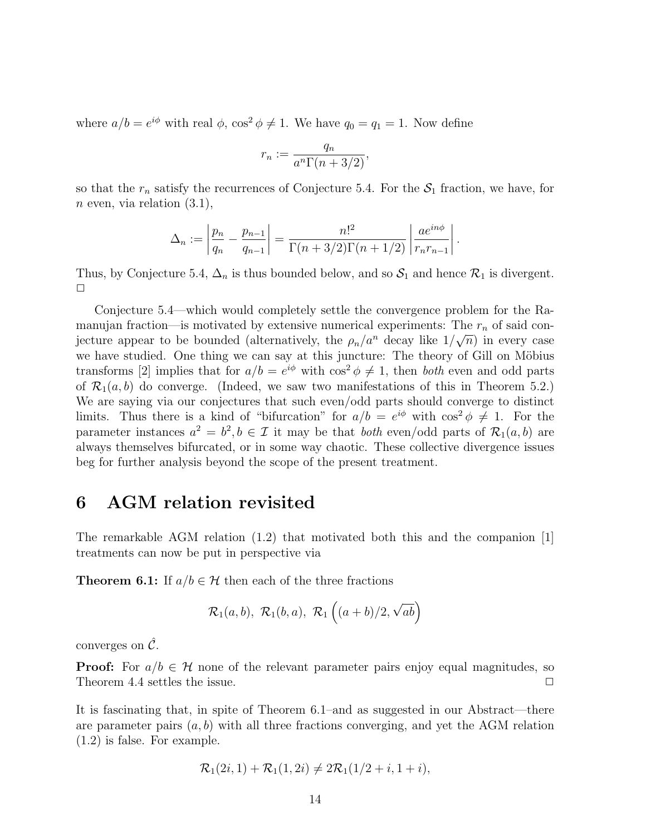where  $a/b = e^{i\phi}$  with real  $\phi$ ,  $\cos^2 \phi \neq 1$ . We have  $q_0 = q_1 = 1$ . Now define

$$
r_n := \frac{q_n}{a^n \Gamma(n + 3/2)},
$$

so that the  $r_n$  satisfy the recurrences of Conjecture 5.4. For the  $S_1$  fraction, we have, for  $n$  even, via relation  $(3.1)$ ,

$$
\Delta_n := \left| \frac{p_n}{q_n} - \frac{p_{n-1}}{q_{n-1}} \right| = \frac{n!^2}{\Gamma(n+3/2)\Gamma(n+1/2)} \left| \frac{ae^{in\phi}}{r_n r_{n-1}} \right|.
$$

Thus, by Conjecture 5.4,  $\Delta_n$  is thus bounded below, and so  $S_1$  and hence  $\mathcal{R}_1$  is divergent.  $\Box$ 

Conjecture 5.4—which would completely settle the convergence problem for the Ramanujan fraction—is motivated by extensive numerical experiments: The  $r_n$  of said conjecture appear to be bounded (alternatively, the  $\rho_n/a^n$  decay like  $1/\sqrt{n}$ ) in every case we have studied. One thing we can say at this juncture: The theory of Gill on Möbius transforms [2] implies that for  $a/b = e^{i\phi}$  with  $\cos^2 \phi \neq 1$ , then both even and odd parts of  $\mathcal{R}_1(a, b)$  do converge. (Indeed, we saw two manifestations of this in Theorem 5.2.) We are saying via our conjectures that such even/odd parts should converge to distinct limits. Thus there is a kind of "bifurcation" for  $a/b = e^{i\phi}$  with  $\cos^2 \phi \neq 1$ . For the parameter instances  $a^2 = b^2, b \in \mathcal{I}$  it may be that *both* even/odd parts of  $\mathcal{R}_1(a, b)$  are always themselves bifurcated, or in some way chaotic. These collective divergence issues beg for further analysis beyond the scope of the present treatment.

#### 6 AGM relation revisited

The remarkable AGM relation (1.2) that motivated both this and the companion [1] treatments can now be put in perspective via

**Theorem 6.1:** If  $a/b \in \mathcal{H}$  then each of the three fractions

$$
\mathcal{R}_1(a,b), \ \mathcal{R}_1(b,a), \ \mathcal{R}_1\left((a+b)/2, \sqrt{ab}\right)
$$

converges on  $\hat{\mathcal{C}}$ .

**Proof:** For  $a/b \in \mathcal{H}$  none of the relevant parameter pairs enjoy equal magnitudes, so Theorem 4.4 settles the issue.  $\Box$ 

It is fascinating that, in spite of Theorem 6.1–and as suggested in our Abstract—there are parameter pairs  $(a, b)$  with all three fractions converging, and yet the AGM relation (1.2) is false. For example.

$$
\mathcal{R}_1(2i, 1) + \mathcal{R}_1(1, 2i) \neq 2\mathcal{R}_1(1/2 + i, 1 + i),
$$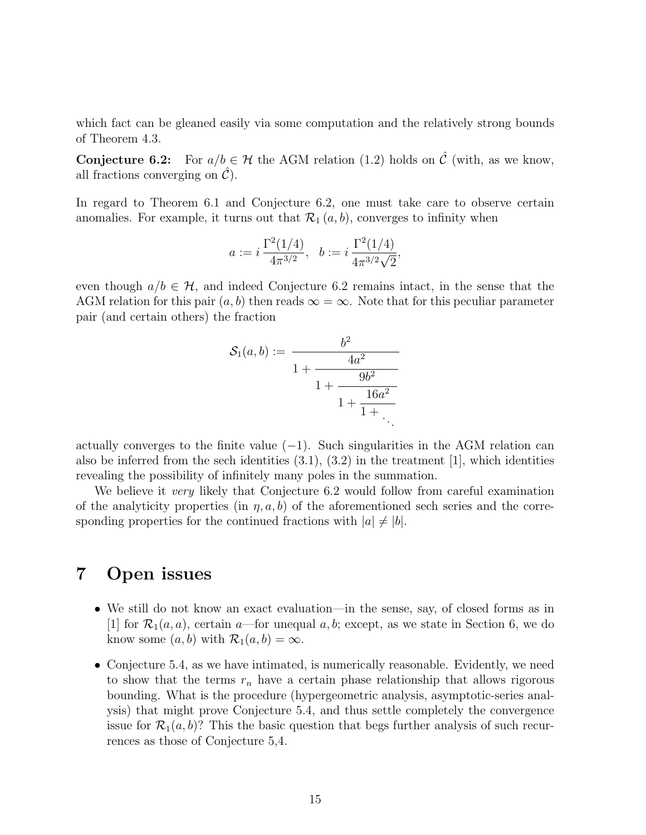which fact can be gleaned easily via some computation and the relatively strong bounds of Theorem 4.3.

**Conjecture 6.2:** For  $a/b \in \mathcal{H}$  the AGM relation (1.2) holds on  $\hat{\mathcal{C}}$  (with, as we know, all fractions converging on  $\mathcal{C}$ ).

In regard to Theorem 6.1 and Conjecture 6.2, one must take care to observe certain anomalies. For example, it turns out that  $\mathcal{R}_1(a, b)$ , converges to infinity when

$$
a := i \frac{\Gamma^2(1/4)}{4\pi^{3/2}}, \quad b := i \frac{\Gamma^2(1/4)}{4\pi^{3/2}\sqrt{2}},
$$

even though  $a/b \in \mathcal{H}$ , and indeed Conjecture 6.2 remains intact, in the sense that the AGM relation for this pair  $(a, b)$  then reads  $\infty = \infty$ . Note that for this peculiar parameter pair (and certain others) the fraction

$$
S_1(a,b) := \frac{b^2}{1 + \frac{4a^2}{1 + \frac{9b^2}{1 + \frac{16a^2}{1 + \ddots}}}}
$$

actually converges to the finite value  $(-1)$ . Such singularities in the AGM relation can also be inferred from the sech identities  $(3.1)$ ,  $(3.2)$  in the treatment [1], which identities revealing the possibility of infinitely many poles in the summation.

We believe it *very* likely that Conjecture 6.2 would follow from careful examination of the analyticity properties (in  $\eta$ ,  $a$ , b) of the aforementioned sech series and the corresponding properties for the continued fractions with  $|a| \neq |b|$ .

#### 7 Open issues

- We still do not know an exact evaluation—in the sense, say, of closed forms as in [1] for  $\mathcal{R}_1(a, a)$ , certain a—for unequal a, b; except, as we state in Section 6, we do know some  $(a, b)$  with  $\mathcal{R}_1(a, b) = \infty$ .
- Conjecture 5.4, as we have intimated, is numerically reasonable. Evidently, we need to show that the terms  $r_n$  have a certain phase relationship that allows rigorous bounding. What is the procedure (hypergeometric analysis, asymptotic-series analysis) that might prove Conjecture 5.4, and thus settle completely the convergence issue for  $\mathcal{R}_1(a, b)$ ? This the basic question that begs further analysis of such recurrences as those of Conjecture 5,4.